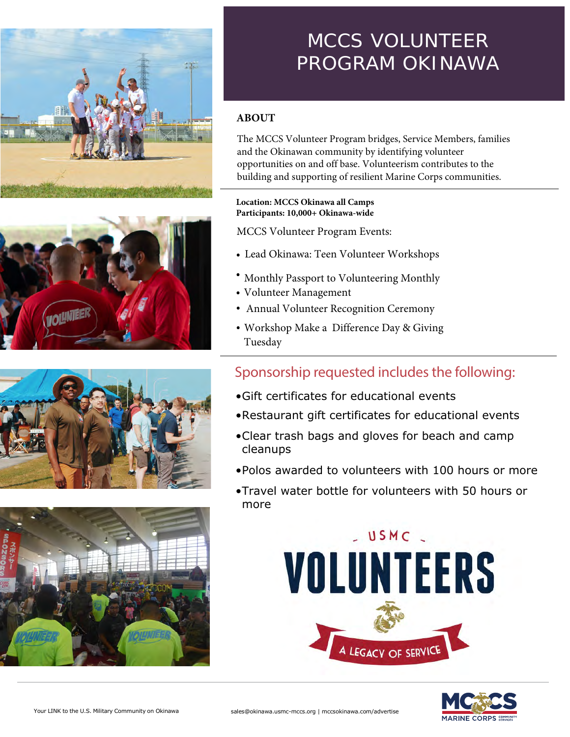







# MCCS VOLUNTEER PROGRAM OKINAWA

### **ABOUT**

The MCCS Volunteer Program bridges, Service Members, families and the Okinawan community by identifying volunteer opportunities on and off base. Volunteerism contributes to the building and supporting of resilient Marine Corps communities.

### **Location: MCCS Okinawa all Camps Participants: 10,000+ Okinawa-wide**

MCCS Volunteer Program Events:

- Lead Okinawa: Teen Volunteer Workshops
- Monthly Passport to Volunteering Monthly
- Volunteer Management
- Annual Volunteer Recognition Ceremony •
- Workshop Make a Difference Day & Giving Tuesday

## Sponsorship requested includes the following:

- •Gift certificates for educational events
- •Restaurant gift certificates for educational events
- •Clear trash bags and gloves for beach and camp cleanups
- •Polos awarded to volunteers with 100 hours or more
- •Travel water bottle for volunteers with 50 hours or more